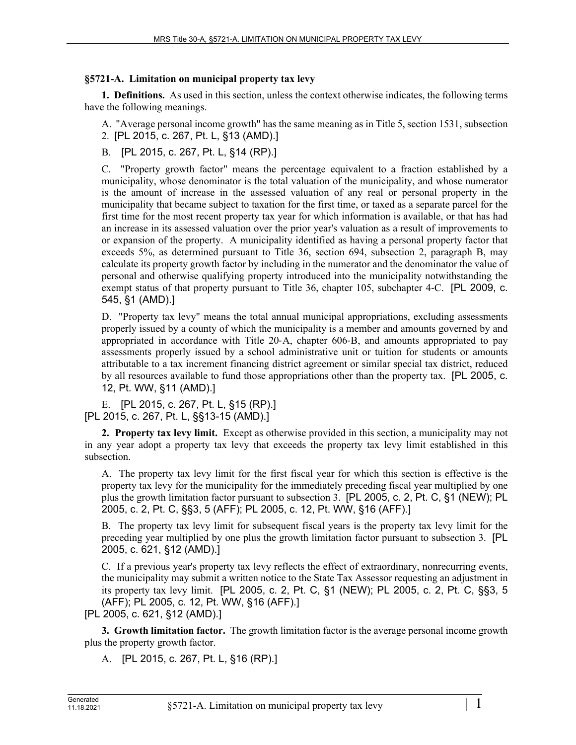## **§5721-A. Limitation on municipal property tax levy**

**1. Definitions.** As used in this section, unless the context otherwise indicates, the following terms have the following meanings.

A. "Average personal income growth" has the same meaning as in Title 5, section 1531, subsection 2. [PL 2015, c. 267, Pt. L, §13 (AMD).]

B. [PL 2015, c. 267, Pt. L, §14 (RP).]

C. "Property growth factor" means the percentage equivalent to a fraction established by a municipality, whose denominator is the total valuation of the municipality, and whose numerator is the amount of increase in the assessed valuation of any real or personal property in the municipality that became subject to taxation for the first time, or taxed as a separate parcel for the first time for the most recent property tax year for which information is available, or that has had an increase in its assessed valuation over the prior year's valuation as a result of improvements to or expansion of the property. A municipality identified as having a personal property factor that exceeds 5%, as determined pursuant to Title 36, section 694, subsection 2, paragraph B, may calculate its property growth factor by including in the numerator and the denominator the value of personal and otherwise qualifying property introduced into the municipality notwithstanding the exempt status of that property pursuant to Title 36, chapter 105, subchapter 4–C. [PL 2009, c. 545, §1 (AMD).]

D. "Property tax levy" means the total annual municipal appropriations, excluding assessments properly issued by a county of which the municipality is a member and amounts governed by and appropriated in accordance with Title 20‑A, chapter 606‑B, and amounts appropriated to pay assessments properly issued by a school administrative unit or tuition for students or amounts attributable to a tax increment financing district agreement or similar special tax district, reduced by all resources available to fund those appropriations other than the property tax. [PL 2005, c. 12, Pt. WW, §11 (AMD).]

E. [PL 2015, c. 267, Pt. L, §15 (RP).] [PL 2015, c. 267, Pt. L, §§13-15 (AMD).]

**2. Property tax levy limit.** Except as otherwise provided in this section, a municipality may not in any year adopt a property tax levy that exceeds the property tax levy limit established in this subsection.

A. The property tax levy limit for the first fiscal year for which this section is effective is the property tax levy for the municipality for the immediately preceding fiscal year multiplied by one plus the growth limitation factor pursuant to subsection 3. [PL 2005, c. 2, Pt. C, §1 (NEW); PL 2005, c. 2, Pt. C, §§3, 5 (AFF); PL 2005, c. 12, Pt. WW, §16 (AFF).]

B. The property tax levy limit for subsequent fiscal years is the property tax levy limit for the preceding year multiplied by one plus the growth limitation factor pursuant to subsection 3. [PL 2005, c. 621, §12 (AMD).]

C. If a previous year's property tax levy reflects the effect of extraordinary, nonrecurring events, the municipality may submit a written notice to the State Tax Assessor requesting an adjustment in its property tax levy limit. [PL 2005, c. 2, Pt. C, §1 (NEW); PL 2005, c. 2, Pt. C, §§3, 5 (AFF); PL 2005, c. 12, Pt. WW, §16 (AFF).]

[PL 2005, c. 621, §12 (AMD).]

**3. Growth limitation factor.** The growth limitation factor is the average personal income growth plus the property growth factor.

A. [PL 2015, c. 267, Pt. L, §16 (RP).]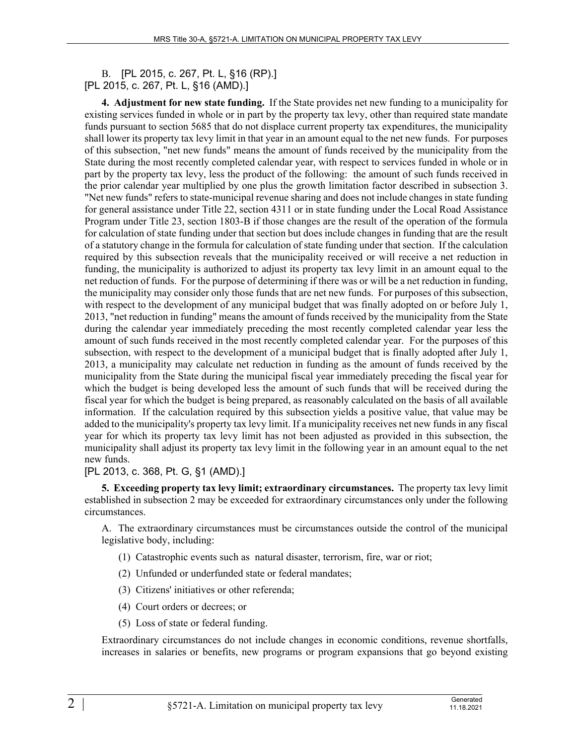B. [PL 2015, c. 267, Pt. L, §16 (RP).] [PL 2015, c. 267, Pt. L, §16 (AMD).]

**4. Adjustment for new state funding.** If the State provides net new funding to a municipality for existing services funded in whole or in part by the property tax levy, other than required state mandate funds pursuant to section 5685 that do not displace current property tax expenditures, the municipality shall lower its property tax levy limit in that year in an amount equal to the net new funds. For purposes of this subsection, "net new funds" means the amount of funds received by the municipality from the State during the most recently completed calendar year, with respect to services funded in whole or in part by the property tax levy, less the product of the following: the amount of such funds received in the prior calendar year multiplied by one plus the growth limitation factor described in subsection 3. "Net new funds" refers to state-municipal revenue sharing and does not include changes in state funding for general assistance under Title 22, section 4311 or in state funding under the Local Road Assistance Program under Title 23, section 1803-B if those changes are the result of the operation of the formula for calculation of state funding under that section but does include changes in funding that are the result of a statutory change in the formula for calculation of state funding under that section. If the calculation required by this subsection reveals that the municipality received or will receive a net reduction in funding, the municipality is authorized to adjust its property tax levy limit in an amount equal to the net reduction of funds. For the purpose of determining if there was or will be a net reduction in funding, the municipality may consider only those funds that are net new funds. For purposes of this subsection, with respect to the development of any municipal budget that was finally adopted on or before July 1, 2013, "net reduction in funding" means the amount of funds received by the municipality from the State during the calendar year immediately preceding the most recently completed calendar year less the amount of such funds received in the most recently completed calendar year. For the purposes of this subsection, with respect to the development of a municipal budget that is finally adopted after July 1, 2013, a municipality may calculate net reduction in funding as the amount of funds received by the municipality from the State during the municipal fiscal year immediately preceding the fiscal year for which the budget is being developed less the amount of such funds that will be received during the fiscal year for which the budget is being prepared, as reasonably calculated on the basis of all available information. If the calculation required by this subsection yields a positive value, that value may be added to the municipality's property tax levy limit. If a municipality receives net new funds in any fiscal year for which its property tax levy limit has not been adjusted as provided in this subsection, the municipality shall adjust its property tax levy limit in the following year in an amount equal to the net new funds.

[PL 2013, c. 368, Pt. G, §1 (AMD).]

**5. Exceeding property tax levy limit; extraordinary circumstances.** The property tax levy limit established in subsection 2 may be exceeded for extraordinary circumstances only under the following circumstances.

A. The extraordinary circumstances must be circumstances outside the control of the municipal legislative body, including:

- (1) Catastrophic events such as natural disaster, terrorism, fire, war or riot;
- (2) Unfunded or underfunded state or federal mandates;
- (3) Citizens' initiatives or other referenda;
- (4) Court orders or decrees; or
- (5) Loss of state or federal funding.

Extraordinary circumstances do not include changes in economic conditions, revenue shortfalls, increases in salaries or benefits, new programs or program expansions that go beyond existing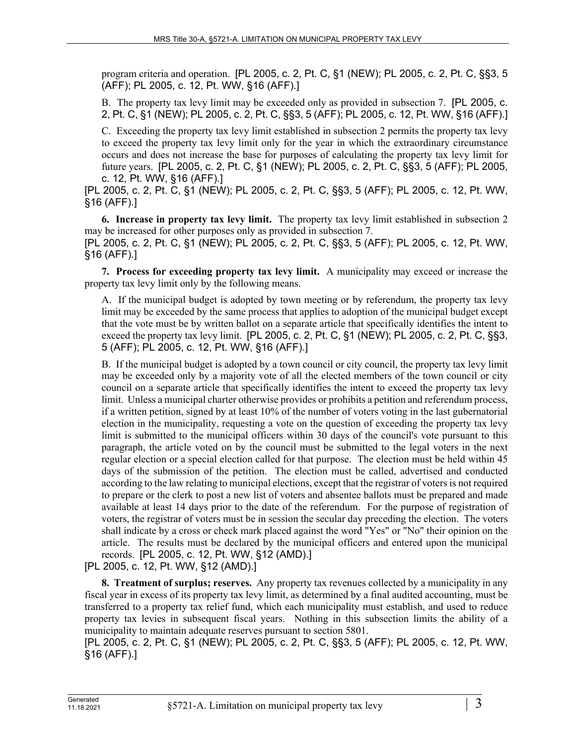program criteria and operation. [PL 2005, c. 2, Pt. C, §1 (NEW); PL 2005, c. 2, Pt. C, §§3, 5 (AFF); PL 2005, c. 12, Pt. WW, §16 (AFF).]

B. The property tax levy limit may be exceeded only as provided in subsection 7. [PL 2005, c. 2, Pt. C, §1 (NEW); PL 2005, c. 2, Pt. C, §§3, 5 (AFF); PL 2005, c. 12, Pt. WW, §16 (AFF).]

C. Exceeding the property tax levy limit established in subsection 2 permits the property tax levy to exceed the property tax levy limit only for the year in which the extraordinary circumstance occurs and does not increase the base for purposes of calculating the property tax levy limit for future years. [PL 2005, c. 2, Pt. C, §1 (NEW); PL 2005, c. 2, Pt. C, §§3, 5 (AFF); PL 2005, c. 12, Pt. WW, §16 (AFF).]

[PL 2005, c. 2, Pt. C, §1 (NEW); PL 2005, c. 2, Pt. C, §§3, 5 (AFF); PL 2005, c. 12, Pt. WW, §16 (AFF).]

**6. Increase in property tax levy limit.** The property tax levy limit established in subsection 2 may be increased for other purposes only as provided in subsection 7.

[PL 2005, c. 2, Pt. C, §1 (NEW); PL 2005, c. 2, Pt. C, §§3, 5 (AFF); PL 2005, c. 12, Pt. WW, §16 (AFF).]

**7. Process for exceeding property tax levy limit.** A municipality may exceed or increase the property tax levy limit only by the following means.

A. If the municipal budget is adopted by town meeting or by referendum, the property tax levy limit may be exceeded by the same process that applies to adoption of the municipal budget except that the vote must be by written ballot on a separate article that specifically identifies the intent to exceed the property tax levy limit. [PL 2005, c. 2, Pt. C, §1 (NEW); PL 2005, c. 2, Pt. C, §§3, 5 (AFF); PL 2005, c. 12, Pt. WW, §16 (AFF).]

B. If the municipal budget is adopted by a town council or city council, the property tax levy limit may be exceeded only by a majority vote of all the elected members of the town council or city council on a separate article that specifically identifies the intent to exceed the property tax levy limit. Unless a municipal charter otherwise provides or prohibits a petition and referendum process, if a written petition, signed by at least 10% of the number of voters voting in the last gubernatorial election in the municipality, requesting a vote on the question of exceeding the property tax levy limit is submitted to the municipal officers within 30 days of the council's vote pursuant to this paragraph, the article voted on by the council must be submitted to the legal voters in the next regular election or a special election called for that purpose. The election must be held within 45 days of the submission of the petition. The election must be called, advertised and conducted according to the law relating to municipal elections, except that the registrar of voters is not required to prepare or the clerk to post a new list of voters and absentee ballots must be prepared and made available at least 14 days prior to the date of the referendum. For the purpose of registration of voters, the registrar of voters must be in session the secular day preceding the election. The voters shall indicate by a cross or check mark placed against the word "Yes" or "No" their opinion on the article. The results must be declared by the municipal officers and entered upon the municipal records. [PL 2005, c. 12, Pt. WW, §12 (AMD).]

[PL 2005, c. 12, Pt. WW, §12 (AMD).]

**8. Treatment of surplus; reserves.** Any property tax revenues collected by a municipality in any fiscal year in excess of its property tax levy limit, as determined by a final audited accounting, must be transferred to a property tax relief fund, which each municipality must establish, and used to reduce property tax levies in subsequent fiscal years. Nothing in this subsection limits the ability of a municipality to maintain adequate reserves pursuant to section 5801.

[PL 2005, c. 2, Pt. C, §1 (NEW); PL 2005, c. 2, Pt. C, §§3, 5 (AFF); PL 2005, c. 12, Pt. WW, §16 (AFF).]